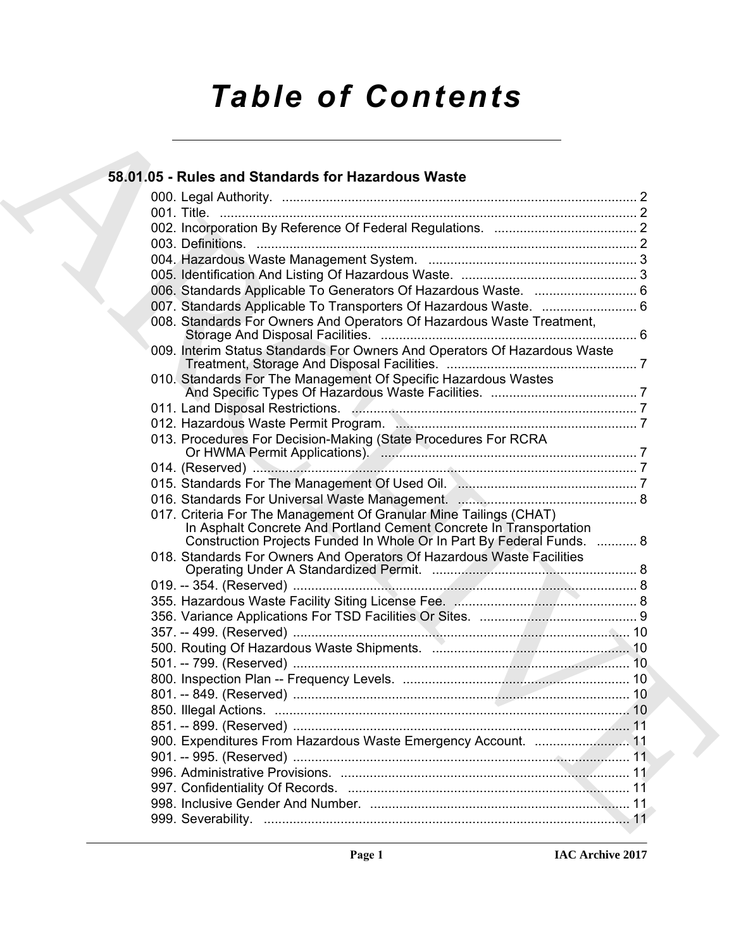# *Table of Contents*

### [A](#page-1-0)[RC](#page-5-2)[HI](#page-7-1)[V](#page-7-2)[E](#page-9-3) **58.01.05 - Rules and Standards for Hazardous Waste** 000. Legal Authority. ................................................................................................. 2 001. Title. .................................................................................................................. 2 002. Incorporation By Reference Of Federal Regulations. ....................................... 2 003. Definitions. ........................................................................................................ 2 004. Hazardous Waste Management System. ......................................................... 3 005. Identification And Listing Of Hazardous Waste. ................................................ 3 006. Standards Applicable To Generators Of Hazardous Waste. ............................ 6 007. Standards Applicable To Transporters Of Hazardous Waste. .......................... 6 008. Standards For Owners And Operators Of Hazardous Waste Treatment, Storage And Disposal Facilities. ...................................................................... 6 009. Interim Status Standards For Owners And Operators Of Hazardous Waste Treatment, Storage And Disposal Facilities. .................................................... 7 010. Standards For The Management Of Specific Hazardous Wastes And Specific Types Of Hazardous Waste Facilities. ........................................ 7 011. Land Disposal Restrictions. .............................................................................. 7 012. Hazardous Waste Permit Program. .................................................................. 7 013. Procedures For Decision-Making (State Procedures For RCRA Or HWMA Permit Applications). ...................................................................... 7 014. (Reserved) ......................................................................................................... 7 015. Standards For The Management Of Used Oil. ................................................. 7 016. Standards For Universal Waste Management. ................................................. 8 017. Criteria For The Management Of Granular Mine Tailings (CHAT) In Asphalt Concrete And Portland Cement Concrete In Transportation Construction Projects Funded In Whole Or In Part By Federal Funds. ........... 8 018. Standards For Owners And Operators Of Hazardous Waste Facilities Operating Under A Standardized Permit. ........................................................ 8 019. -- 354. (Reserved) .............................................................................................. 8 355. Hazardous Waste Facility Siting License Fee. .................................................. 8 356. Variance Applications For TSD Facilities Or Sites. ........................................... 9 357. -- 499. (Reserved) ............................................................................................ 10 500. Routing Of Hazardous Waste Shipments. ...................................................... 10 501. -- 799. (Reserved) ............................................................................................ 10 800. Inspection Plan -- Frequency Levels. .............................................................. 10 801. -- 849. (Reserved) ............................................................................................ 10 850. Illegal Actions. ................................................................................................. 10 851. -- 899. (Reserved) ............................................................................................ 11 900. Expenditures From Hazardous Waste Emergency Account. .......................... 11 901. -- 995. (Reserved) ............................................................................................ 11 996. Administrative Provisions. ............................................................................... 11 997. Confidentiality Of Records. ............................................................................. 11 998. Inclusive Gender And Number. ....................................................................... 11 999. Severability. .................................................................................................... 11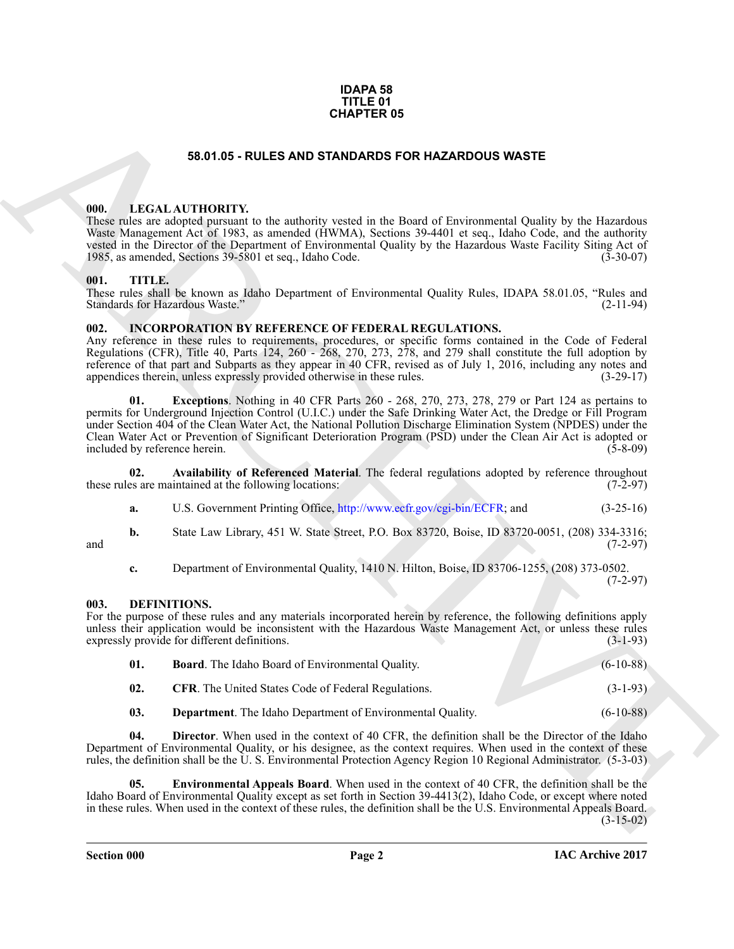### **IDAPA 58 TITLE 01 CHAPTER 05**

### **58.01.05 - RULES AND STANDARDS FOR HAZARDOUS WASTE**

### <span id="page-1-1"></span><span id="page-1-0"></span>**000. LEGAL AUTHORITY.**

These rules are adopted pursuant to the authority vested in the Board of Environmental Quality by the Hazardous Waste Management Act of 1983, as amended (HWMA), Sections 39-4401 et seq., Idaho Code, and the authority vested in the Director of the Department of Environmental Quality by the Hazardous Waste Facility Siting Act of 1985, as amended, Sections 39-5801 et seq., Idaho Code. (3-30-07) 1985, as amended, Sections 39-5801 et seq., Idaho Code.

### <span id="page-1-2"></span>**001. TITLE.**

These rules shall be known as Idaho Department of Environmental Quality Rules, IDAPA 58.01.05, "Rules and Standards for Hazardous Waste." (2-11-94) Standards for Hazardous Waste."

### <span id="page-1-11"></span><span id="page-1-3"></span>**002. INCORPORATION BY REFERENCE OF FEDERAL REGULATIONS.**

<span id="page-1-13"></span>Any reference in these rules to requirements, procedures, or specific forms contained in the Code of Federal Regulations (CFR), Title 40, Parts 124, 260 - 268, 270, 273, 278, and 279 shall constitute the full adoption by reference of that part and Subparts as they appear in 40 CFR, revised as of July 1, 2016, including any notes and appendices therein, unless expressly provided otherwise in these rules. (3-29-17)

**GHAPTER OS**<br> **CHAPTER OS**<br> **CHAPTER OS**<br> **CHAPTER OS**<br> **CHAPTER OS**<br> **CHAPTER OS**<br> **CHAPTER OS**<br> **CHAPTER OS**<br> **CHAPTER OS**<br> **CHAPTER OS**<br> **CHAPTER OS**<br> **CHAPTER OS**<br> **CHAPTER OS**<br> **CHAPTER OS**<br> **CHAPTER OS**<br> **CHAPTER OS 01. Exceptions**. Nothing in 40 CFR Parts 260 - 268, 270, 273, 278, 279 or Part 124 as pertains to permits for Underground Injection Control (U.I.C.) under the Safe Drinking Water Act, the Dredge or Fill Program under Section 404 of the Clean Water Act, the National Pollution Discharge Elimination System (NPDES) under the Clean Water Act or Prevention of Significant Deterioration Program (PSD) under the Clean Air Act is adopted or included by reference herein.

**02.** Availability of Referenced Material. The federal regulations adopted by reference throughout es are maintained at the following locations: (7-2-97) these rules are maintained at the following locations:

<span id="page-1-12"></span>

| а. |  | U.S. Government Printing Office, http://www.ecfr.gov/cgi-bin/ECFR; and | $(3-25-16)$ |
|----|--|------------------------------------------------------------------------|-------------|
|----|--|------------------------------------------------------------------------|-------------|

**b.** State Law Library, 451 W. State Street, P.O. Box 83720, Boise, ID 83720-0051, (208) 334-3316;<br>(7-2-97) and  $(7-2-97)$ 

<span id="page-1-5"></span>**c.** Department of Environmental Quality, 1410 N. Hilton, Boise, ID 83706-1255, (208) 373-0502. (7-2-97)

### <span id="page-1-4"></span>**003. DEFINITIONS.**

For the purpose of these rules and any materials incorporated herein by reference, the following definitions apply unless their application would be inconsistent with the Hazardous Waste Management Act, or unless these rules expressly provide for different definitions. (3-1-93)

<span id="page-1-7"></span><span id="page-1-6"></span>

| 01. | <b>Board.</b> The Idaho Board of Environmental Quality.    | $(6-10-88)$ |
|-----|------------------------------------------------------------|-------------|
| 02. | <b>CFR.</b> The United States Code of Federal Regulations. | $(3-1-93)$  |
|     |                                                            |             |

<span id="page-1-10"></span><span id="page-1-9"></span><span id="page-1-8"></span>**03. Department**. The Idaho Department of Environmental Quality. (6-10-88)

**04. Director**. When used in the context of 40 CFR, the definition shall be the Director of the Idaho Department of Environmental Quality, or his designee, as the context requires. When used in the context of these rules, the definition shall be the U. S. Environmental Protection Agency Region 10 Regional Administrator. (5-3-03)

**05. Environmental Appeals Board**. When used in the context of 40 CFR, the definition shall be the Idaho Board of Environmental Quality except as set forth in Section 39-4413(2), Idaho Code, or except where noted in these rules. When used in the context of these rules, the definition shall be the U.S. Environmental Appeals Board.  $(3-15-02)$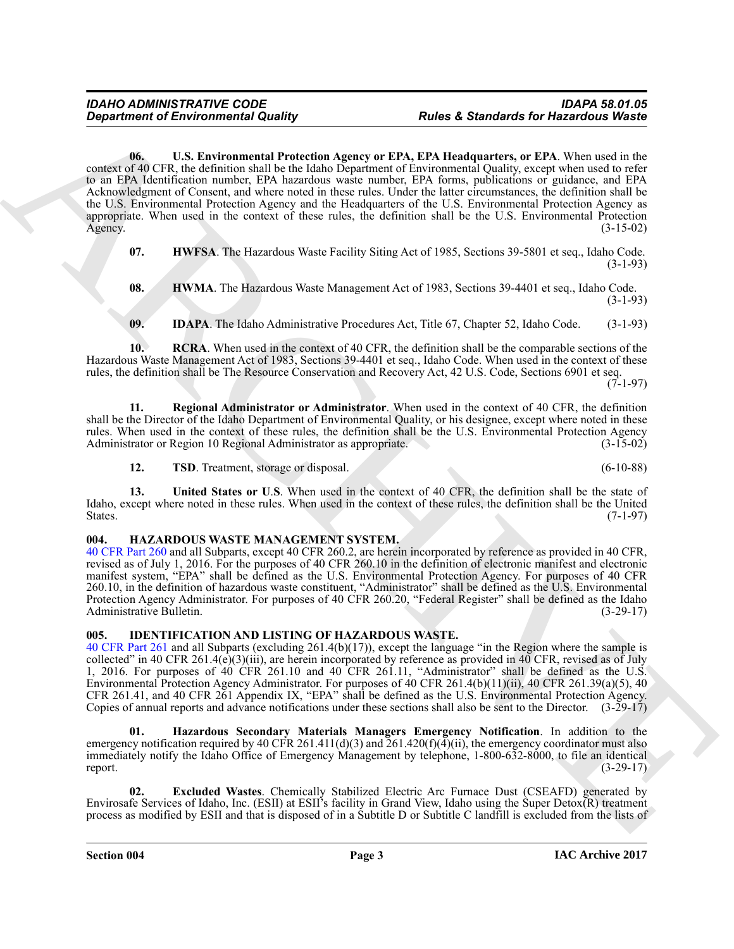ARCHIVE **06. U.S. Environmental Protection Agency or EPA, EPA Headquarters, or EPA**. When used in the context of 40 CFR, the definition shall be the Idaho Department of Environmental Quality, except when used to refer to an EPA Identification number, EPA hazardous waste number, EPA forms, publications or guidance, and EPA Acknowledgment of Consent, and where noted in these rules. Under the latter circumstances, the definition shall be the U.S. Environmental Protection Agency and the Headquarters of the U.S. Environmental Protection Agency as appropriate. When used in the context of these rules, the definition shall be the U.S. Environmental Protection  $\text{Agency.}$  (3-15-02)

<span id="page-2-8"></span><span id="page-2-2"></span>**07. HWFSA**. The Hazardous Waste Facility Siting Act of 1985, Sections 39-5801 et seq., Idaho Code. (3-1-93)

<span id="page-2-3"></span>**08. HWMA**. The Hazardous Waste Management Act of 1983, Sections 39-4401 et seq., Idaho Code. (3-1-93)

<span id="page-2-5"></span><span id="page-2-4"></span>**09. IDAPA**. The Idaho Administrative Procedures Act, Title 67, Chapter 52, Idaho Code. (3-1-93)

**10. RCRA**. When used in the context of 40 CFR, the definition shall be the comparable sections of the Hazardous Waste Management Act of 1983, Sections 39-4401 et seq., Idaho Code. When used in the context of these rules, the definition shall be The Resource Conservation and Recovery Act, 42 U.S. Code, Sections 6901 et seq.

 $(7-1-97)$ 

**11. Regional Administrator or Administrator**. When used in the context of 40 CFR, the definition shall be the Director of the Idaho Department of Environmental Quality, or his designee, except where noted in these rules. When used in the context of these rules, the definition shall be the U.S. Environmental Protection Agency<br>Administrator or Region 10 Regional Administrator as appropriate. (3-15-02) Administrator or Region 10 Regional Administrator as appropriate.

<span id="page-2-9"></span><span id="page-2-7"></span><span id="page-2-6"></span>**12. 12. 12. 12. 12. 12. 12. 12. 12. 12. 12. 12. 12. 12. 12. 12. 12. 12. 12. 12. 12. 12. 12. 12. 12. 12. 12. 12. 12. 12. 12. 12. 12. 12. 12. 12. 12.**

**13. United States or U**.**S**. When used in the context of 40 CFR, the definition shall be the state of Idaho, except where noted in these rules. When used in the context of these rules, the definition shall be the United States.  $(7-1-97)$ 

### <span id="page-2-10"></span><span id="page-2-0"></span>**004. HAZARDOUS WASTE MANAGEMENT SYSTEM.**

40 CFR Part 260 and all Subparts, except 40 CFR 260.2, are herein incorporated by reference as provided in 40 CFR, revised as of July 1, 2016. For the purposes of 40 CFR 260.10 in the definition of electronic manifest and electronic manifest system, "EPA" shall be defined as the U.S. Environmental Protection Agency. For purposes of 40 CFR 260.10, in the definition of hazardous waste constituent, "Administrator" shall be defined as the U.S. Environmental Protection Agency Administrator. For purposes of 40 CFR 260.20, "Federal Register" shall be defined as the Idaho Administrative Bulletin. (3-29-17) Administrative Bulletin.

### <span id="page-2-11"></span><span id="page-2-1"></span>**005. IDENTIFICATION AND LISTING OF HAZARDOUS WASTE.**

40 CFR Part 261 and all Subparts (excluding 261.4(b)(17)), except the language "in the Region where the sample is collected" in 40 CFR 261.4(e)(3)(iii), are herein incorporated by reference as provided in 40 CFR, revised as of July 1, 2016. For purposes of 40 CFR 261.10 and 40 CFR 261.11, "Administrator" shall be defined as the U.S. Environmental Protection Agency Administrator. For purposes of 40 CFR 261.4(b)(11)(ii), 40 CFR 261.39(a)(5), 40 CFR 261.41, and 40 CFR 261 Appendix IX, "EPA" shall be defined as the U.S. Environmental Protection Agency. Copies of annual reports and advance notifications under these sections shall also be sent to the Director. (3-29-17)

<span id="page-2-13"></span>**01. Hazardous Secondary Materials Managers Emergency Notification**. In addition to the emergency notification required by 40 CFR 261.411(d)(3) and  $261.420(f)(4)(ii)$ , the emergency coordinator must also immediately notify the Idaho Office of Emergency Management by telephone, 1-800-632-8000, to file an identical report.  $(3-29-17)$ 

<span id="page-2-12"></span>**02. Excluded Wastes**. Chemically Stabilized Electric Arc Furnace Dust (CSEAFD) generated by Envirosafe Services of Idaho, Inc. (ESII) at ESII's facility in Grand View, Idaho using the Super Detox(R) treatment process as modified by ESII and that is disposed of in a Subtitle D or Subtitle C landfill is excluded from the lists of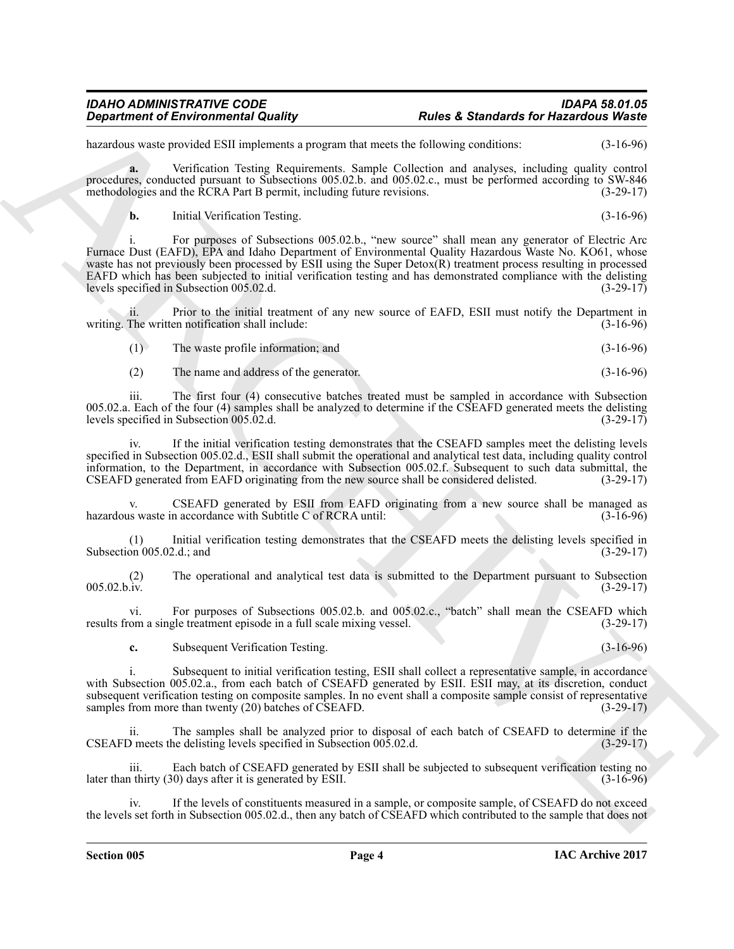hazardous waste provided ESII implements a program that meets the following conditions: (3-16-96)

**a.** Verification Testing Requirements. Sample Collection and analyses, including quality control procedures, conducted pursuant to Subsections 005.02.b. and 005.02.c., must be performed according to SW-846 methodologies and the RCRA Part B permit, including future revisions. (3-29-17)

**b.** Initial Verification Testing. (3-16-96)

Graphenical de territorionisme) a Darde & Standardo for Hazardova Wasie<br>
kanades seus providuital implementation appealmentation de television de territorionisme de territorionisme de territorionisme de territorionisme de i. For purposes of Subsections 005.02.b., "new source" shall mean any generator of Electric Arc Furnace Dust (EAFD), EPA and Idaho Department of Environmental Quality Hazardous Waste No. KO61, whose waste has not previously been processed by ESII using the Super Detox(R) treatment process resulting in processed EAFD which has been subjected to initial verification testing and has demonstrated compliance with the delisting levels specified in Subsection 005.02.d. levels specified in Subsection 005.02.d.

Prior to the initial treatment of any new source of EAFD, ESII must notify the Department in writing. The written notification shall include: (3-16-96)

| (1) | The waste profile information; and | $(3-16-96)$ |
|-----|------------------------------------|-------------|
|-----|------------------------------------|-------------|

(2) The name and address of the generator. (3-16-96)

iii. The first four (4) consecutive batches treated must be sampled in accordance with Subsection 005.02.a. Each of the four (4) samples shall be analyzed to determine if the CSEAFD generated meets the delisting levels specified in Subsection 005.02.d.  $(3-29-17)$ levels specified in Subsection 005.02.d.

iv. If the initial verification testing demonstrates that the CSEAFD samples meet the delisting levels specified in Subsection 005.02.d., ESII shall submit the operational and analytical test data, including quality control information, to the Department, in accordance with Subsection 005.02.f. Subsequent to such data submittal, the CSEAFD generated from EAFD originating from the new source shall be considered delisted. (3-29-17) CSEAFD generated from EAFD originating from the new source shall be considered delisted.

CSEAFD generated by ESII from EAFD originating from a new source shall be managed as n accordance with Subtitle C of RCRA until: (3-16-96) hazardous waste in accordance with Subtitle  $\ddot{C}$  of RCRA until:

(1) Initial verification testing demonstrates that the CSEAFD meets the delisting levels specified in Subsection  $005.02.d$ ; and

(2) The operational and analytical test data is submitted to the Department pursuant to Subsection (3-29-17) (3-29-17) 005.02.b.iv. (3-29-17)

vi. For purposes of Subsections 005.02.b. and 005.02.c., "batch" shall mean the CSEAFD which om a single treatment episode in a full scale mixing vessel. (3-29-17) results from a single treatment episode in a full scale mixing vessel.

**c.** Subsequent Verification Testing. (3-16-96)

i. Subsequent to initial verification testing, ESII shall collect a representative sample, in accordance with Subsection 005.02.a., from each batch of CSEAFD generated by ESII. ESII may, at its discretion, conduct subsequent verification testing on composite samples. In no event shall a composite sample consist of representative samples from more than twenty (20) batches of CSEAFD. (3-29-17)

ii. The samples shall be analyzed prior to disposal of each batch of CSEAFD to determine if the CSEAFD meets the delisting levels specified in Subsection  $00\overline{5}$ .02.d.

iii. Each batch of CSEAFD generated by ESII shall be subjected to subsequent verification testing no<br>thirty (30) days after it is generated by ESII. (3-16-96) later than thirty  $(30)$  days after it is generated by ESII.

If the levels of constituents measured in a sample, or composite sample, of CSEAFD do not exceed the levels set forth in Subsection 005.02.d., then any batch of CSEAFD which contributed to the sample that does not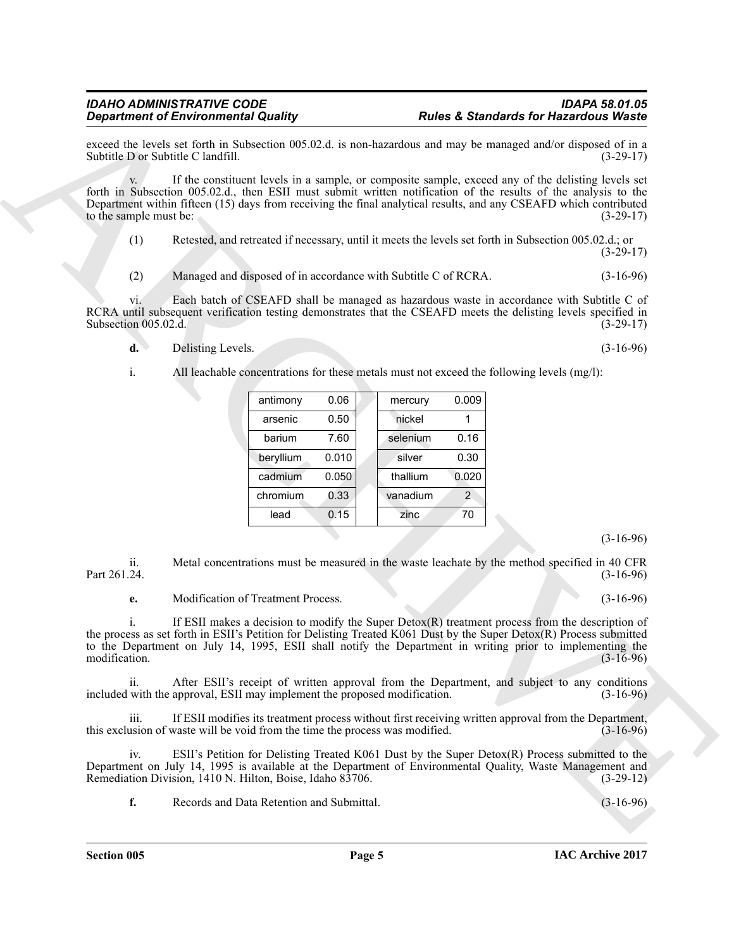- **d.** Delisting Levels. (3-16-96)
- i. All leachable concentrations for these metals must not exceed the following levels (mg/l):

| <b>Rules &amp; Standards for Hazardous Waste</b> |                                                                                                                                                                                                                                                                                                                                            |                                                                              | <b>Department of Environmental Quality</b> |                             |
|--------------------------------------------------|--------------------------------------------------------------------------------------------------------------------------------------------------------------------------------------------------------------------------------------------------------------------------------------------------------------------------------------------|------------------------------------------------------------------------------|--------------------------------------------|-----------------------------|
| $(3-29-17)$                                      | exceed the levels set forth in Subsection 005.02.d. is non-hazardous and may be managed and/or disposed of in a                                                                                                                                                                                                                            |                                                                              | Subtitle D or Subtitle C landfill.         |                             |
| $(3-29-17)$                                      | If the constituent levels in a sample, or composite sample, exceed any of the delisting levels set<br>forth in Subsection 005.02.d., then ESII must submit written notification of the results of the analysis to the<br>Department within fifteen (15) days from receiving the final analytical results, and any CSEAFD which contributed |                                                                              |                                            | to the sample must be:      |
| $(3-29-17)$                                      | Retested, and retreated if necessary, until it meets the levels set forth in Subsection 005.02.d.; or                                                                                                                                                                                                                                      |                                                                              |                                            | (1)                         |
| $(3-16-96)$                                      | Managed and disposed of in accordance with Subtitle C of RCRA.                                                                                                                                                                                                                                                                             |                                                                              |                                            | (2)                         |
| $(3-29-17)$                                      | Each batch of CSEAFD shall be managed as hazardous waste in accordance with Subtitle C of<br>RCRA until subsequent verification testing demonstrates that the CSEAFD meets the delisting levels specified in                                                                                                                               |                                                                              |                                            | VI.<br>Subsection 005.02.d. |
| $(3-16-96)$                                      |                                                                                                                                                                                                                                                                                                                                            |                                                                              | Delisting Levels.                          | $\mathbf{d}$ .              |
|                                                  | All leachable concentrations for these metals must not exceed the following levels (mg/l):                                                                                                                                                                                                                                                 |                                                                              |                                            | i.                          |
|                                                  | 0.009                                                                                                                                                                                                                                                                                                                                      | 0.06                                                                         |                                            |                             |
|                                                  | mercury<br>nickel<br>1                                                                                                                                                                                                                                                                                                                     | antimony<br>0.50<br>arsenic                                                  |                                            |                             |
|                                                  | 0.16<br>selenium                                                                                                                                                                                                                                                                                                                           | 7.60<br>barium                                                               |                                            |                             |
|                                                  | 0.30<br>silver                                                                                                                                                                                                                                                                                                                             | 0.010<br>beryllium                                                           |                                            |                             |
|                                                  | thallium<br>0.020                                                                                                                                                                                                                                                                                                                          | cadmium<br>0.050                                                             |                                            |                             |
|                                                  | $\overline{2}$<br>vanadium                                                                                                                                                                                                                                                                                                                 | 0.33<br>chromium                                                             |                                            |                             |
|                                                  | 70<br>zinc                                                                                                                                                                                                                                                                                                                                 | 0.15<br>lead                                                                 |                                            |                             |
| $(3-16-96)$                                      |                                                                                                                                                                                                                                                                                                                                            |                                                                              |                                            |                             |
| $(3-16-96)$                                      | Metal concentrations must be measured in the waste leachate by the method specified in 40 CFR                                                                                                                                                                                                                                              |                                                                              |                                            | ii.<br>Part 261.24.         |
| $(3-16-96)$                                      |                                                                                                                                                                                                                                                                                                                                            | Modification of Treatment Process.                                           |                                            | е.                          |
| $(3-16-96)$                                      | If ESII makes a decision to modify the Super Detox $(R)$ treatment process from the description of<br>the process as set forth in ESII's Petition for Delisting Treated K061 Dust by the Super Detox(R) Process submitted<br>to the Department on July 14, 1995, ESII shall notify the Department in writing prior to implementing the     |                                                                              |                                            | modification.               |
| $(3-16-96)$                                      | After ESII's receipt of written approval from the Department, and subject to any conditions                                                                                                                                                                                                                                                | included with the approval, ESII may implement the proposed modification.    |                                            | ii.                         |
|                                                  | If ESII modifies its treatment process without first receiving written approval from the Department,                                                                                                                                                                                                                                       | this exclusion of waste will be void from the time the process was modified. |                                            | iii.                        |
| $(3-16-96)$                                      |                                                                                                                                                                                                                                                                                                                                            |                                                                              |                                            |                             |
| $(3-29-12)$                                      | ESII's Petition for Delisting Treated K061 Dust by the Super Detox(R) Process submitted to the<br>Department on July 14, 1995 is available at the Department of Environmental Quality, Waste Management and                                                                                                                                | Remediation Division, 1410 N. Hilton, Boise, Idaho 83706.                    |                                            | iv.                         |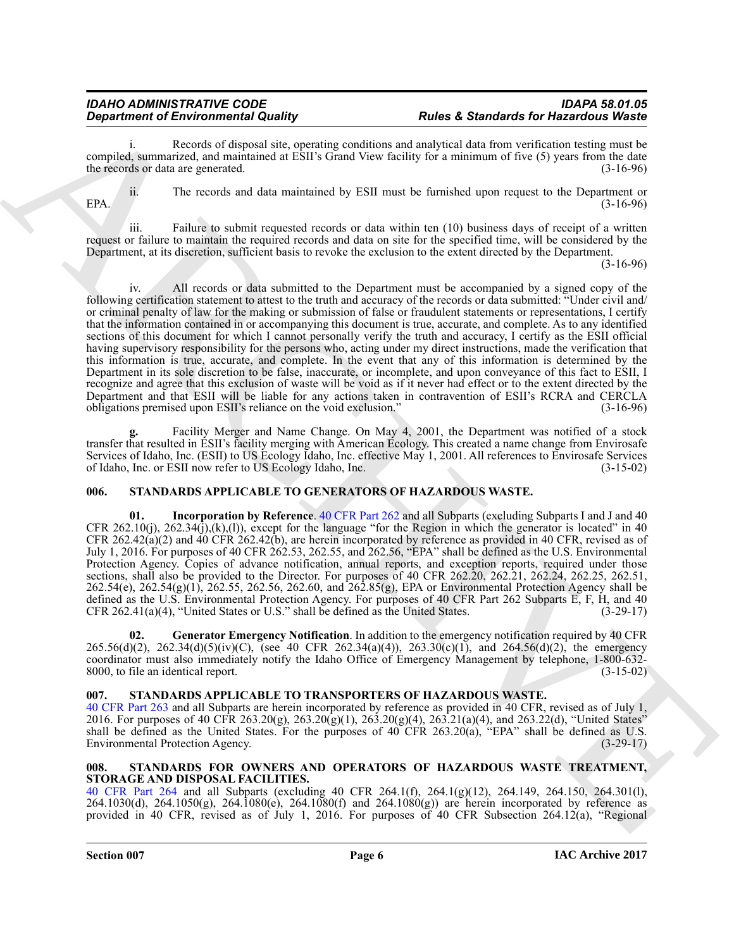### *Department of Environmental Quality*

Records of disposal site, operating conditions and analytical data from verification testing must be compiled, summarized, and maintained at ESII's Grand View facility for a minimum of five (5) years from the date the records or data are generated. (3-16-96)

ii. The records and data maintained by ESII must be furnished upon request to the Department or  $EPA.$  (3-16-96)

iii. Failure to submit requested records or data within ten (10) business days of receipt of a written request or failure to maintain the required records and data on site for the specified time, will be considered by the Department, at its discretion, sufficient basis to revoke the exclusion to the extent directed by the Department.

(3-16-96)

**Department of Environmental Guality 19. There CES CENT CONFIGENCIES** (Sectional CES **CES CONFIGENCIES** (Sectional CES CONFIGER) (Sectional CES CONFIGER) (Sectional CES CONFIGER) (Sectional CES CONFIGER) (Sectional iv. All records or data submitted to the Department must be accompanied by a signed copy of the following certification statement to attest to the truth and accuracy of the records or data submitted: "Under civil and/ or criminal penalty of law for the making or submission of false or fraudulent statements or representations, I certify that the information contained in or accompanying this document is true, accurate, and complete. As to any identified sections of this document for which I cannot personally verify the truth and accuracy, I certify as the ESII official having supervisory responsibility for the persons who, acting under my direct instructions, made the verification that this information is true, accurate, and complete. In the event that any of this information is determined by the Department in its sole discretion to be false, inaccurate, or incomplete, and upon conveyance of this fact to ESII, I recognize and agree that this exclusion of waste will be void as if it never had effect or to the extent directed by the Department and that ESII will be liable for any actions taken in contravention of ESII's RCRA and CERCLA obligations premised upon ESII's reliance on the void exclusion." (3-16-96) obligations premised upon ESII's reliance on the void exclusion."

**g.** Facility Merger and Name Change. On May 4, 2001, the Department was notified of a stock transfer that resulted in ESII's facility merging with American Ecology. This created a name change from Envirosafe Services of Idaho, Inc. (ESII) to US Ecology Idaho, Inc. effective May 1, 2001. All references to Envirosafe Services of Idaho, Inc. or ESII now refer to US Ecology Idaho, Inc. of Idaho, Inc. or ESII now refer to US Ecology Idaho, Inc.

### <span id="page-5-3"></span><span id="page-5-0"></span>**006. STANDARDS APPLICABLE TO GENERATORS OF HAZARDOUS WASTE.**

<span id="page-5-5"></span>**01. Incorporation by Reference**. 40 CFR Part 262 and all Subparts (excluding Subparts I and J and 40 CFR 262.10(j), 262.34(j),(k),(l)), except for the language "for the Region in which the generator is located" in 40 CFR 262.42(a)(2) and 40 CFR 262.42(b), are herein incorporated by reference as provided in 40 CFR, revised as of July 1, 2016. For purposes of 40 CFR 262.53, 262.55, and 262.56, "EPA" shall be defined as the U.S. Environmental Protection Agency. Copies of advance notification, annual reports, and exception reports, required under those sections, shall also be provided to the Director. For purposes of 40 CFR 262.20, 262.21, 262.24, 262.25, 262.51, 262.54(e), 262.54(g)(1), 262.55, 262.56, 262.60, and 262.85(g), EPA or Environmental Protection Agency shall be defined as the U.S. Environmental Protection Agency. For purposes of 40 CFR Part 262 Subparts E, F, H, and 40 CFR 262.41(a)(4). "United States or U.S." shall be defined as the United States. (3-29-17) CFR  $262.41(a)(4)$ , "United States or U.S." shall be defined as the United States.

<span id="page-5-4"></span>**02. Generator Emergency Notification**. In addition to the emergency notification required by 40 CFR 265.56(d)(2), 262.34(d)(5)(iv)(C), (see 40 CFR 262.34(a)(4)), 263.30(c)(1), and 264.56(d)(2), the emergency coordinator must also immediately notify the Idaho Office of Emergency Management by telephone, 1-800-632-8000, to file an identical report. (3-15-02) 8000, to file an identical report.

### <span id="page-5-6"></span><span id="page-5-1"></span>**007. STANDARDS APPLICABLE TO TRANSPORTERS OF HAZARDOUS WASTE.**

40 CFR Part 263 and all Subparts are herein incorporated by reference as provided in 40 CFR, revised as of July 1, 2016. For purposes of 40 CFR 263.20(g), 263.20(g)(1), 263.20(g)(4), 263.21(a)(4), and 263.22(d), "United States" shall be defined as the United States. For the purposes of 40 CFR 263.20(a), "EPA" shall be defined as U.S. Environmental Protection Agency. (3-29-17)

### <span id="page-5-7"></span><span id="page-5-2"></span>**008. STANDARDS FOR OWNERS AND OPERATORS OF HAZARDOUS WASTE TREATMENT, STORAGE AND DISPOSAL FACILITIES.**

40 CFR Part 264 and all Subparts (excluding 40 CFR 264.1(f), 264.1(g)(12), 264.149, 264.150, 264.301(l), 264.1030(d), 264.1050(g), 264.1080(e), 264.1080(f) and 264.1080(g)) are herein incorporated by reference as provided in 40 CFR, revised as of July 1, 2016. For purposes of 40 CFR Subsection 264.12(a), "Regional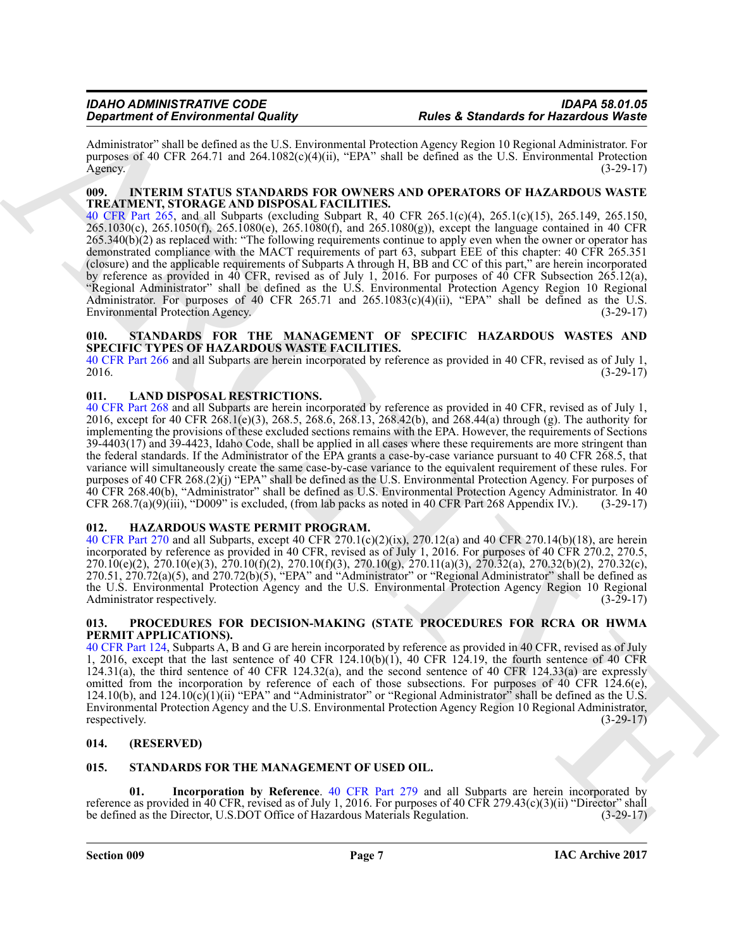Administrator" shall be defined as the U.S. Environmental Protection Agency Region 10 Regional Administrator. For purposes of 40 CFR 264.71 and 264.1082(c)(4)(ii), "EPA" shall be defined as the U.S. Environmental Protection Agency. (3-29-17)

### <span id="page-6-8"></span><span id="page-6-0"></span>**009. INTERIM STATUS STANDARDS FOR OWNERS AND OPERATORS OF HAZARDOUS WASTE TREATMENT, STORAGE AND DISPOSAL FACILITIES.**

40 CFR Part 265, and all Subparts (excluding Subpart R, 40 CFR 265.1(c)(4), 265.1(c)(15), 265.149, 265.150, 265.1030(c), 265.1050(f), 265.1080(e), 265.1080(f), and 265.1080(g)), except the language contained in 40 CFR 265.340(b)(2) as replaced with: "The following requirements continue to apply even when the owner or operator has demonstrated compliance with the MACT requirements of part 63, subpart EEE of this chapter: 40 CFR 265.351 (closure) and the applicable requirements of Subparts A through H, BB and CC of this part," are herein incorporated by reference as provided in 40 CFR, revised as of July 1, 2016. For purposes of 40 CFR Subsection 265.12(a), "Regional Administrator" shall be defined as the U.S. Environmental Protection Agency Region 10 Regional Administrator. For purposes of 40 CFR 265.71 and  $265.1083(c)(4)(ii)$ , "EPA" shall be defined as the U.S. Environmental Protection Agency. (3-29-17)

### <span id="page-6-11"></span><span id="page-6-1"></span>**010. STANDARDS FOR THE MANAGEMENT OF SPECIFIC HAZARDOUS WASTES AND SPECIFIC TYPES OF HAZARDOUS WASTE FACILITIES.**

40 CFR Part 266 and all Subparts are herein incorporated by reference as provided in 40 CFR, revised as of July 1, 2016. (3-29-17)

### <span id="page-6-9"></span><span id="page-6-2"></span>**011. LAND DISPOSAL RESTRICTIONS.**

*Content of Environmental Quality*<br> *Content of Environmental Quality*<br> *Content of Environmental Quality*<br>
Administration (EC 2013) and the content of Environmental Content of Environmental Properties Are<br>
Applies of C 40 CFR Part 268 and all Subparts are herein incorporated by reference as provided in 40 CFR, revised as of July 1, 2016, except for 40 CFR 268.1(e)(3), 268.5, 268.6, 268.13, 268.42(b), and 268.44(a) through (g). The authority for implementing the provisions of these excluded sections remains with the EPA. However, the requirements of Sections 39-4403(17) and 39-4423, Idaho Code, shall be applied in all cases where these requirements are more stringent than the federal standards. If the Administrator of the EPA grants a case-by-case variance pursuant to 40 CFR 268.5, that variance will simultaneously create the same case-by-case variance to the equivalent requirement of these rules. For purposes of 40 CFR 268.(2)(j) "EPA" shall be defined as the U.S. Environmental Protection Agency. For purposes of 40 CFR 268.40(b), "Administrator" shall be defined as U.S. Environmental Protection Agency Administrator. In 40 CFR 268.7(a)(9)(iii), "D009" is excluded, (from lab packs as noted in 40 CFR Part 268 Appendix IV.). (3-29-17)

### <span id="page-6-7"></span><span id="page-6-3"></span>**012. HAZARDOUS WASTE PERMIT PROGRAM.**

40 CFR Part 270 and all Subparts, except 40 CFR 270.1(c)(2)(ix), 270.12(a) and 40 CFR 270.14(b)(18), are herein incorporated by reference as provided in 40 CFR, revised as of July 1, 2016. For purposes of 40 CFR 270.2, 270.5, 270.10(e)(2), 270.10(e)(3), 270.10(f)(2), 270.10(f)(3), 270.10(g), 270.11(a)(3), 270.32(a), 270.32(b)(2), 270.32(c), 270.51, 270.72(a)(5), and 270.72(b)(5), "EPA" and "Administrator" or "Regional Administrator" shall be defined as the U.S. Environmental Protection Agency and the U.S. Environmental Protection Agency Region 10 Regional Administrator respectively. (3-29-17) (3-29-17)

### <span id="page-6-10"></span><span id="page-6-4"></span>**013. PROCEDURES FOR DECISION-MAKING (STATE PROCEDURES FOR RCRA OR HWMA PERMIT APPLICATIONS).**

40 CFR Part 124, Subparts A, B and G are herein incorporated by reference as provided in 40 CFR, revised as of July 1, 2016, except that the last sentence of 40 CFR 124.10(b)(1), 40 CFR 124.19, the fourth sentence of 40 CFR 124.31(a), the third sentence of 40 CFR 124.32(a), and the second sentence of 40 CFR 124.33(a) are expressly omitted from the incorporation by reference of each of those subsections. For purposes of 40 CFR 124.6(e), 124.10(b), and 124.10(c)(1)(ii) "EPA" and "Administrator" or "Regional Administrator" shall be defined as the U.S. Environmental Protection Agency and the U.S. Environmental Protection Agency Region 10 Regional Administrator, respectively. (3-29-17) (3-29-17)

### <span id="page-6-5"></span>**014. (RESERVED)**

### <span id="page-6-12"></span><span id="page-6-6"></span>**015. STANDARDS FOR THE MANAGEMENT OF USED OIL.**

<span id="page-6-13"></span>**01. Incorporation by Reference**. 40 CFR Part 279 and all Subparts are herein incorporated by reference as provided in 40 CFR, revised as of July 1, 2016. For purposes of 40 CFR 279.43(c)(3)(ii) "Director" shall be defined as the Director, U.S.DOT Office of Hazardous Materials Regulation. (3-29-17)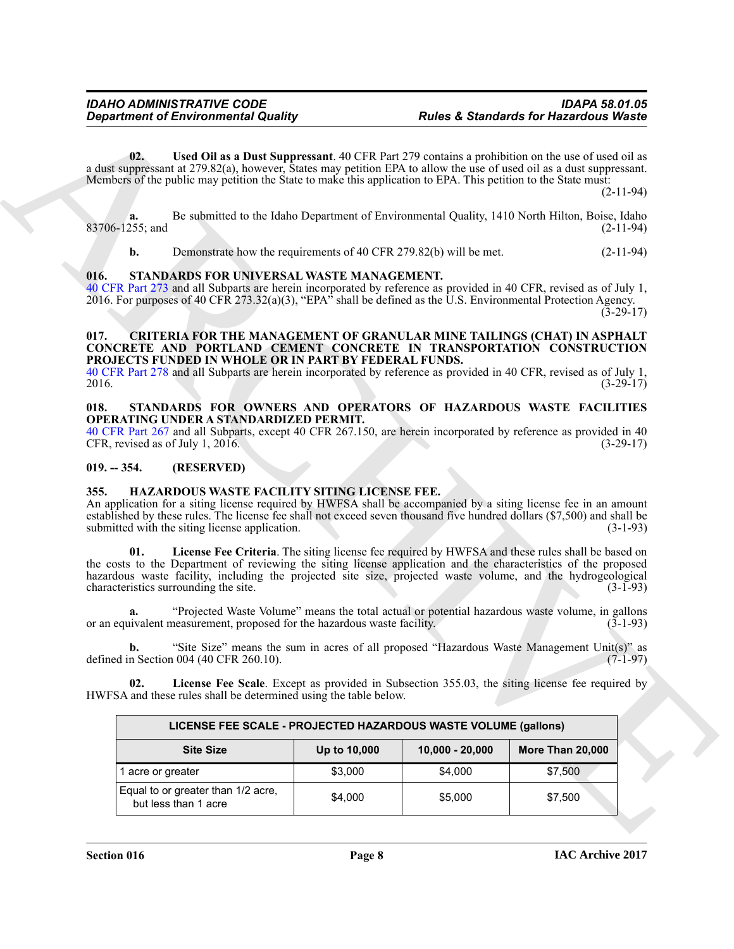### <span id="page-7-11"></span><span id="page-7-10"></span><span id="page-7-0"></span>**016. STANDARDS FOR UNIVERSAL WASTE MANAGEMENT.**

### <span id="page-7-5"></span><span id="page-7-1"></span>**017. CRITERIA FOR THE MANAGEMENT OF GRANULAR MINE TAILINGS (CHAT) IN ASPHALT CONCRETE AND PORTLAND CEMENT CONCRETE IN TRANSPORTATION CONSTRUCTION PROJECTS FUNDED IN WHOLE OR IN PART BY FEDERAL FUNDS.**

### <span id="page-7-9"></span><span id="page-7-2"></span>**018. STANDARDS FOR OWNERS AND OPERATORS OF HAZARDOUS WASTE FACILITIES OPERATING UNDER A STANDARDIZED PERMIT.**

### <span id="page-7-3"></span>**019. -- 354. (RESERVED)**

### <span id="page-7-8"></span><span id="page-7-7"></span><span id="page-7-6"></span><span id="page-7-4"></span>**355. HAZARDOUS WASTE FACILITY SITING LICENSE FEE.**

| <b>Department of Environmental Quality</b>                                                                                                                                                      |                                                                                                                                                                                                                                                                                                                                                                                            |              | <b>Rules &amp; Standards for Hazardous Waste</b> |                                                                                                                                                                                                                                                                              |  |  |
|-------------------------------------------------------------------------------------------------------------------------------------------------------------------------------------------------|--------------------------------------------------------------------------------------------------------------------------------------------------------------------------------------------------------------------------------------------------------------------------------------------------------------------------------------------------------------------------------------------|--------------|--------------------------------------------------|------------------------------------------------------------------------------------------------------------------------------------------------------------------------------------------------------------------------------------------------------------------------------|--|--|
| 02.                                                                                                                                                                                             | Members of the public may petition the State to make this application to EPA. This petition to the State must:                                                                                                                                                                                                                                                                             |              |                                                  | Used Oil as a Dust Suppressant. 40 CFR Part 279 contains a prohibition on the use of used oil as<br>a dust suppressant at 279.82(a), however, States may petition EPA to allow the use of used oil as a dust suppressant.<br>$(2-11-94)$                                     |  |  |
| a.<br>83706-1255; and                                                                                                                                                                           |                                                                                                                                                                                                                                                                                                                                                                                            |              |                                                  | Be submitted to the Idaho Department of Environmental Quality, 1410 North Hilton, Boise, Idaho<br>$(2-11-94)$                                                                                                                                                                |  |  |
| $\mathbf{b}$ .                                                                                                                                                                                  | Demonstrate how the requirements of 40 CFR 279.82(b) will be met.                                                                                                                                                                                                                                                                                                                          |              |                                                  | $(2-11-94)$                                                                                                                                                                                                                                                                  |  |  |
| 016.                                                                                                                                                                                            | STANDARDS FOR UNIVERSAL WASTE MANAGEMENT.<br>2016. For purposes of 40 CFR 273.32(a)(3), "EPA" shall be defined as the U.S. Environmental Protection Agency.                                                                                                                                                                                                                                |              |                                                  | 40 CFR Part 273 and all Subparts are herein incorporated by reference as provided in 40 CFR, revised as of July 1,<br>$(3-29-17)$                                                                                                                                            |  |  |
| 017.                                                                                                                                                                                            | PROJECTS FUNDED IN WHOLE OR IN PART BY FEDERAL FUNDS.                                                                                                                                                                                                                                                                                                                                      |              |                                                  | <b>CRITERIA FOR THE MANAGEMENT OF GRANULAR MINE TAILINGS (CHAT) IN ASPHALT</b><br>CONCRETE AND PORTLAND CEMENT CONCRETE IN TRANSPORTATION CONSTRUCTION<br>40 CFR Part 278 and all Subparts are herein incorporated by reference as provided in 40 CFR, revised as of July 1, |  |  |
| 2016.                                                                                                                                                                                           |                                                                                                                                                                                                                                                                                                                                                                                            |              |                                                  | $(3-29-17)$                                                                                                                                                                                                                                                                  |  |  |
| 018.                                                                                                                                                                                            | OPERATING UNDER A STANDARDIZED PERMIT.<br>CFR, revised as of July 1, 2016.                                                                                                                                                                                                                                                                                                                 |              |                                                  | STANDARDS FOR OWNERS AND OPERATORS OF HAZARDOUS WASTE FACILITIES<br>40 CFR Part 267 and all Subparts, except 40 CFR 267.150, are herein incorporated by reference as provided in 40<br>$(3-29-17)$                                                                           |  |  |
| $019. - 354.$                                                                                                                                                                                   | (RESERVED)                                                                                                                                                                                                                                                                                                                                                                                 |              |                                                  |                                                                                                                                                                                                                                                                              |  |  |
| 355.                                                                                                                                                                                            | HAZARDOUS WASTE FACILITY SITING LICENSE FEE.<br>submitted with the siting license application.                                                                                                                                                                                                                                                                                             |              |                                                  | An application for a siting license required by HWFSA shall be accompanied by a siting license fee in an amount<br>established by these rules. The license fee shall not exceed seven thousand five hundred dollars (\$7,500) and shall be<br>$(3-1-93)$                     |  |  |
| 01.                                                                                                                                                                                             | License Fee Criteria. The siting license fee required by HWFSA and these rules shall be based on<br>the costs to the Department of reviewing the siting license application and the characteristics of the proposed<br>hazardous waste facility, including the projected site size, projected waste volume, and the hydrogeological<br>characteristics surrounding the site.<br>$(3-1-93)$ |              |                                                  |                                                                                                                                                                                                                                                                              |  |  |
| "Projected Waste Volume" means the total actual or potential hazardous waste volume, in gallons<br>a.<br>or an equivalent measurement, proposed for the hazardous waste facility.<br>$(3-1-93)$ |                                                                                                                                                                                                                                                                                                                                                                                            |              |                                                  |                                                                                                                                                                                                                                                                              |  |  |
|                                                                                                                                                                                                 | defined in Section 004 (40 CFR 260.10).                                                                                                                                                                                                                                                                                                                                                    |              |                                                  | "Site Size" means the sum in acres of all proposed "Hazardous Waste Management Unit(s)" as<br>$(7-1-97)$                                                                                                                                                                     |  |  |
| 02.                                                                                                                                                                                             | HWFSA and these rules shall be determined using the table below.                                                                                                                                                                                                                                                                                                                           |              |                                                  | License Fee Scale. Except as provided in Subsection 355.03, the siting license fee required by                                                                                                                                                                               |  |  |
|                                                                                                                                                                                                 | LICENSE FEE SCALE - PROJECTED HAZARDOUS WASTE VOLUME (gallons)                                                                                                                                                                                                                                                                                                                             |              |                                                  |                                                                                                                                                                                                                                                                              |  |  |
|                                                                                                                                                                                                 | <b>Site Size</b>                                                                                                                                                                                                                                                                                                                                                                           | Up to 10,000 | $10,000 - 20,000$                                | More Than 20,000                                                                                                                                                                                                                                                             |  |  |
|                                                                                                                                                                                                 | 1 acre or greater                                                                                                                                                                                                                                                                                                                                                                          | \$3,000      | \$4,000                                          | \$7,500                                                                                                                                                                                                                                                                      |  |  |
|                                                                                                                                                                                                 | Equal to or greater than 1/2 acre,                                                                                                                                                                                                                                                                                                                                                         | \$4,000      | \$5,000                                          | \$7,500                                                                                                                                                                                                                                                                      |  |  |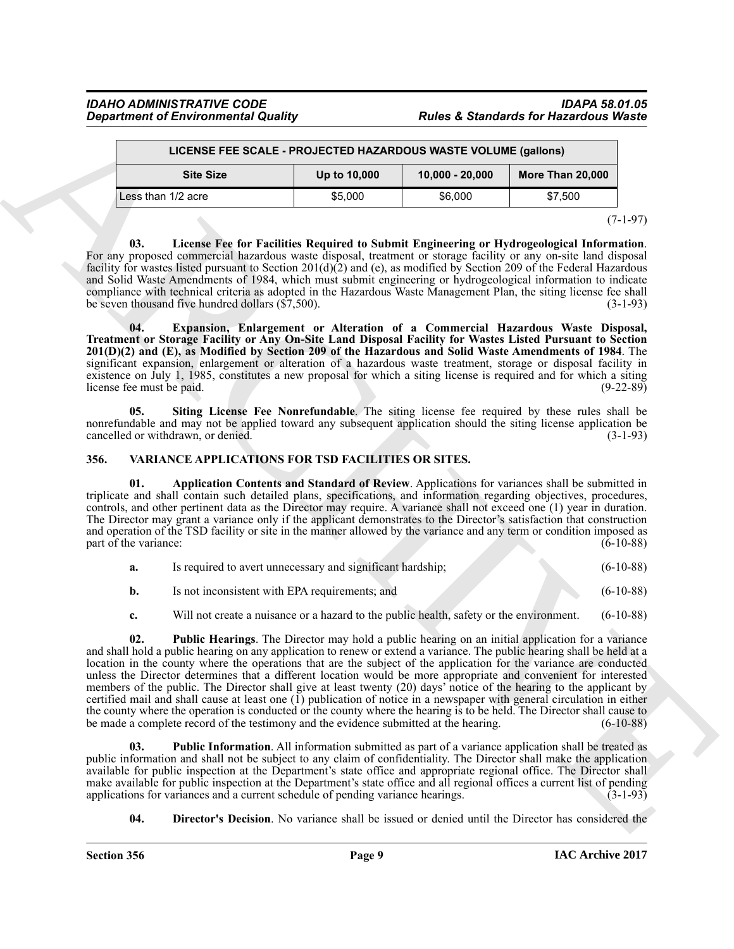## *Department of Environmental Quality*

## *IDAHO ADMINISTRATIVE CODE IDAPA 58.01.05*

| LICENSE FEE SCALE - PROJECTED HAZARDOUS WASTE VOLUME (gallons)            |         |         |         |  |  |
|---------------------------------------------------------------------------|---------|---------|---------|--|--|
| <b>Site Size</b><br>More Than 20,000<br>$10,000 - 20,000$<br>Up to 10,000 |         |         |         |  |  |
| Less than 1/2 acre                                                        | \$5,000 | \$6,000 | \$7.500 |  |  |

 $(7-1-97)$ 

<span id="page-8-2"></span>**03. License Fee for Facilities Required to Submit Engineering or Hydrogeological Information**. For any proposed commercial hazardous waste disposal, treatment or storage facility or any on-site land disposal facility for wastes listed pursuant to Section 201(d)(2) and (e), as modified by Section 209 of the Federal Hazardous and Solid Waste Amendments of 1984, which must submit engineering or hydrogeological information to indicate compliance with technical criteria as adopted in the Hazardous Waste Management Plan, the siting license fee shall<br>be seven thousand five hundred dollars (\$7,500). be seven thousand five hundred dollars  $(\$7,500)$ .

<span id="page-8-1"></span>**04. Expansion, Enlargement or Alteration of a Commercial Hazardous Waste Disposal, Treatment or Storage Facility or Any On-Site Land Disposal Facility for Wastes Listed Pursuant to Section 201(D)(2) and (E), as Modified by Section 209 of the Hazardous and Solid Waste Amendments of 1984**. The significant expansion, enlargement or alteration of a hazardous waste treatment, storage or disposal facility in existence on July 1, 1985, constitutes a new proposal for which a siting license is required and for which a siting license fee must be paid. (9-22-89)

<span id="page-8-3"></span>**05. Siting License Fee Nonrefundable**. The siting license fee required by these rules shall be nonrefundable and may not be applied toward any subsequent application should the siting license application be cancelled or withdrawn, or denied. (3-1-93)

### <span id="page-8-4"></span><span id="page-8-0"></span>**356. VARIANCE APPLICATIONS FOR TSD FACILITIES OR SITES.**

<span id="page-8-5"></span>**01. Application Contents and Standard of Review**. Applications for variances shall be submitted in triplicate and shall contain such detailed plans, specifications, and information regarding objectives, procedures, controls, and other pertinent data as the Director may require. A variance shall not exceed one (1) year in duration. The Director may grant a variance only if the applicant demonstrates to the Director's satisfaction that construction and operation of the TSD facility or site in the manner allowed by the variance and any term or condition imposed as part of the variance: (6-10-88)

| a. | Is required to avert unnecessary and significant hardship; | $(6-10-88)$ |
|----|------------------------------------------------------------|-------------|
|    | Is not inconsistent with EPA requirements; and             | $(6-10-88)$ |

<span id="page-8-7"></span>**c.** Will not create a nuisance or a hazard to the public health, safety or the environment. (6-10-88)

**Constrained Christian Countries (Solution 1998)**<br> **Constrained Christian Countries (Solution 1998)**<br> **Constrained Christian Countries (Solution 1998)**<br> **Constrained Christian Christian Christian Countries (Solution 1998) 02. Public Hearings**. The Director may hold a public hearing on an initial application for a variance and shall hold a public hearing on any application to renew or extend a variance. The public hearing shall be held at a location in the county where the operations that are the subject of the application for the variance are conducted unless the Director determines that a different location would be more appropriate and convenient for interested members of the public. The Director shall give at least twenty (20) days' notice of the hearing to the applicant by certified mail and shall cause at least one  $(1)$  publication of notice in a newspaper with general circulation in either the county where the operation is conducted or the county where the hearing is to be held. The Director shall cause to be made a complete record of the testimony and the evidence submitted at the hearing. (6-10-88) be made a complete record of the testimony and the evidence submitted at the hearing.

<span id="page-8-8"></span>**03. Public Information**. All information submitted as part of a variance application shall be treated as public information and shall not be subject to any claim of confidentiality. The Director shall make the application available for public inspection at the Department's state office and appropriate regional office. The Director shall make available for public inspection at the Department's state office and all regional offices a current list of pending applications for variances and a current schedule of pending variance hearings. (3-1-93)

<span id="page-8-6"></span>**04. Director's Decision**. No variance shall be issued or denied until the Director has considered the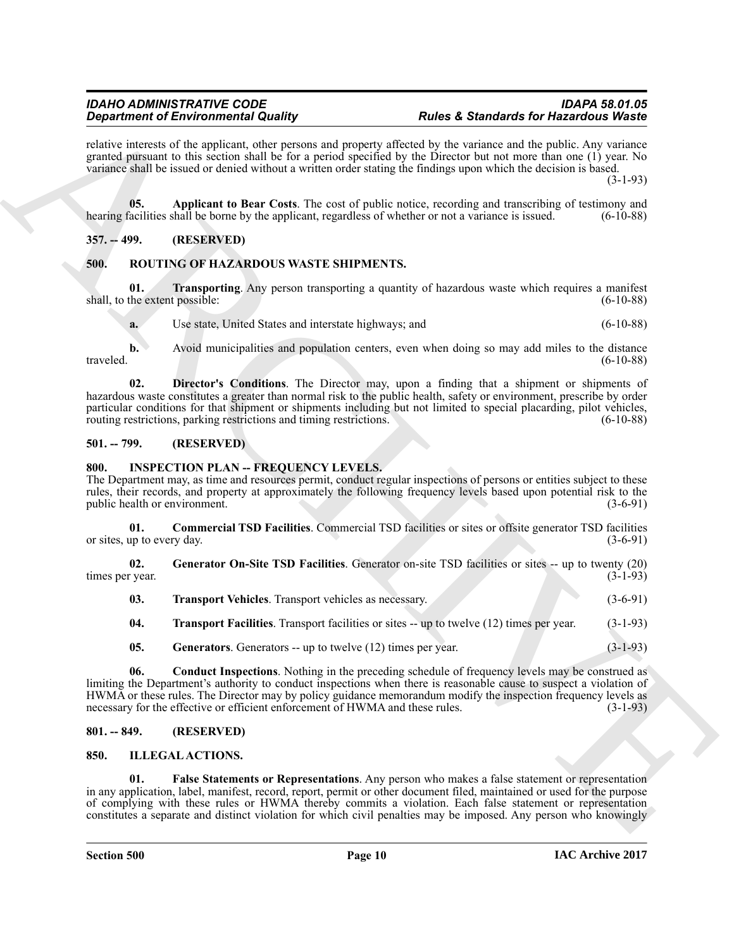### *Department of Environmental Quality*

relative interests of the applicant, other persons and property affected by the variance and the public. Any variance granted pursuant to this section shall be for a period specified by the Director but not more than one (1) year. No variance shall be issued or denied without a written order stating the findings upon which the decision is based.

(3-1-93)

<span id="page-9-18"></span>**05.** Applicant to Bear Costs. The cost of public notice, recording and transcribing of testimony and facilities shall be borne by the applicant, regardless of whether or not a variance is issued. (6-10-88) hearing facilities shall be borne by the applicant, regardless of whether or not a variance is issued.

### <span id="page-9-0"></span>**357. -- 499. (RESERVED)**

### <span id="page-9-15"></span><span id="page-9-1"></span>**500. ROUTING OF HAZARDOUS WASTE SHIPMENTS.**

**01. Transporting**. Any person transporting a quantity of hazardous waste which requires a manifest the extent possible: (6-10-88) shall, to the extent possible:

<span id="page-9-17"></span><span id="page-9-16"></span>**a.** Use state, United States and interstate highways; and (6-10-88)

**b.** Avoid municipalities and population centers, even when doing so may add miles to the distance traveled. (6-10-88)

**02. Director's Conditions**. The Director may, upon a finding that a shipment or shipments of hazardous waste constitutes a greater than normal risk to the public health, safety or environment, prescribe by order particular conditions for that shipment or shipments including but not limited to special placarding, pilot vehicles, routing restrictions, parking restrictions and timing restrictions. (6-10-88) routing restrictions, parking restrictions and timing restrictions.

### <span id="page-9-2"></span>**501. -- 799. (RESERVED)**

### <span id="page-9-8"></span><span id="page-9-3"></span>**800. INSPECTION PLAN -- FREQUENCY LEVELS.**

The Department may, as time and resources permit, conduct regular inspections of persons or entities subject to these rules, their records, and property at approximately the following frequency levels based upon potential risk to the public health or environment.

<span id="page-9-9"></span>**01. Commercial TSD Facilities**. Commercial TSD facilities or sites or offsite generator TSD facilities or sites, up to every day.  $(3-6-91)$ 

**02. Generator On-Site TSD Facilities**. Generator on-site TSD facilities or sites -- up to twenty (20) times per year. (3-1-93)

<span id="page-9-14"></span><span id="page-9-11"></span>

| 03. | <b>Transport Vehicles</b> . Transport vehicles as necessary. | $(3-6-91)$ |  |
|-----|--------------------------------------------------------------|------------|--|
|     |                                                              |            |  |

<span id="page-9-13"></span><span id="page-9-12"></span>**04. Transport Facilities**. Transport facilities or sites -- up to twelve (12) times per year. (3-1-93)

<span id="page-9-10"></span>**05.** Generators. Generators -- up to twelve (12) times per year. (3-1-93)

**Experiment of Elementary duality of the system and experimental that a Standard for Hazard Constitution in the system of the system of the system of the system of the system of the system of the system of the system of t 06. Conduct Inspections**. Nothing in the preceding schedule of frequency levels may be construed as limiting the Department's authority to conduct inspections when there is reasonable cause to suspect a violation of HWMA or these rules. The Director may by policy guidance memorandum modify the inspection frequency levels as necessary for the effective or efficient enforcement of HWMA and these rules. (3-1-93)

### <span id="page-9-4"></span>**801. -- 849. (RESERVED)**

### <span id="page-9-6"></span><span id="page-9-5"></span>**850. ILLEGAL ACTIONS.**

<span id="page-9-7"></span>**01. False Statements or Representations**. Any person who makes a false statement or representation in any application, label, manifest, record, report, permit or other document filed, maintained or used for the purpose of complying with these rules or HWMA thereby commits a violation. Each false statement or representation constitutes a separate and distinct violation for which civil penalties may be imposed. Any person who knowingly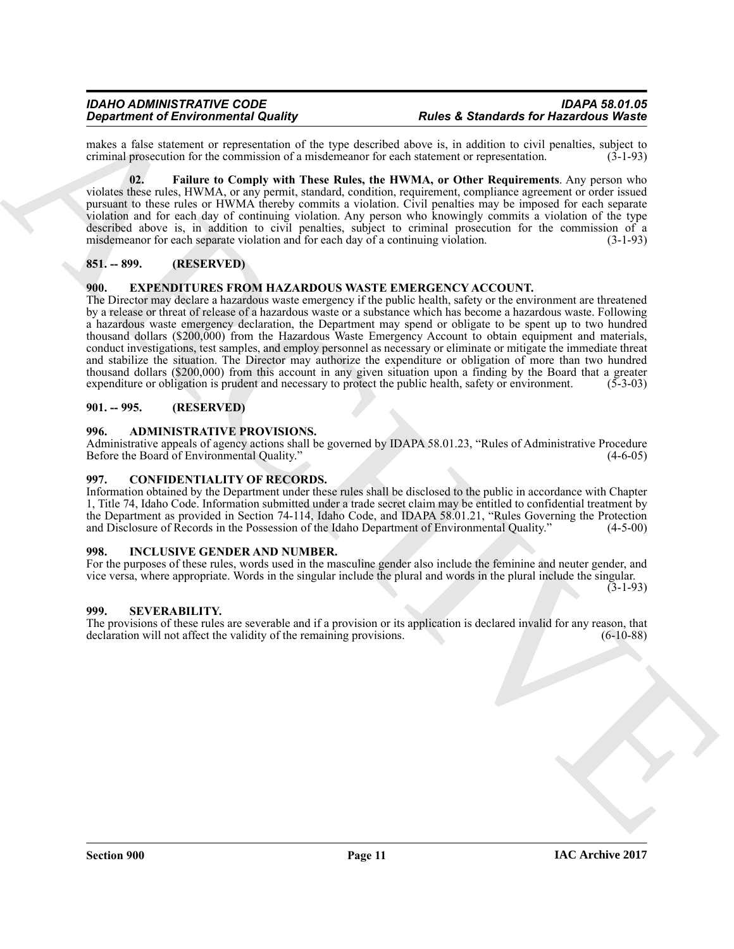makes a false statement or representation of the type described above is, in addition to civil penalties, subject to criminal prosecution for the commission of a misdemeanor for each statement or representation. (3-1-93) criminal prosecution for the commission of a misdemeanor for each statement or representation.

<span id="page-10-8"></span>**02. Failure to Comply with These Rules, the HWMA, or Other Requirements**. Any person who violates these rules, HWMA, or any permit, standard, condition, requirement, compliance agreement or order issued pursuant to these rules or HWMA thereby commits a violation. Civil penalties may be imposed for each separate violation and for each day of continuing violation. Any person who knowingly commits a violation of the type described above is, in addition to civil penalties, subject to criminal prosecution for the commission of a misdemeanor for each separate violation and for each day of a continuing violation. (3-1-93)

### <span id="page-10-0"></span>**851. -- 899. (RESERVED)**

### <span id="page-10-7"></span><span id="page-10-1"></span>**900. EXPENDITURES FROM HAZARDOUS WASTE EMERGENCY ACCOUNT.**

**Experiment of Environmental Castley and Solution Castle 100 and Solution School and Solution School and Solution School and Solution School and Solution School and Solution School and Solution School and Solution School** The Director may declare a hazardous waste emergency if the public health, safety or the environment are threatened by a release or threat of release of a hazardous waste or a substance which has become a hazardous waste. Following a hazardous waste emergency declaration, the Department may spend or obligate to be spent up to two hundred thousand dollars (\$200,000) from the Hazardous Waste Emergency Account to obtain equipment and materials, conduct investigations, test samples, and employ personnel as necessary or eliminate or mitigate the immediate threat and stabilize the situation. The Director may authorize the expenditure or obligation of more than two hundred thousand dollars (\$200,000) from this account in any given situation upon a finding by the Board that a greater expenditure or obligation is prudent and necessary to protect the public health, safety or environment. (5-3-0 expenditure or obligation is prudent and necessary to protect the public health, safety or environment.

### <span id="page-10-2"></span>**901. -- 995. (RESERVED)**

### <span id="page-10-3"></span>**996. ADMINISTRATIVE PROVISIONS.**

Administrative appeals of agency actions shall be governed by IDAPA 58.01.23, "Rules of Administrative Procedure<br>Before the Board of Environmental Quality." (4-6-05) Before the Board of Environmental Quality."

### <span id="page-10-4"></span>**997. CONFIDENTIALITY OF RECORDS.**

Information obtained by the Department under these rules shall be disclosed to the public in accordance with Chapter 1, Title 74, Idaho Code. Information submitted under a trade secret claim may be entitled to confidential treatment by the Department as provided in Section 74-114, Idaho Code, and IDAPA 58.01.21, "Rules Governing the Protection and Disclosure of Records in the Possession of the Idaho Department of Environmental Quality." (4-5-00)

### <span id="page-10-5"></span>**998. INCLUSIVE GENDER AND NUMBER.**

For the purposes of these rules, words used in the masculine gender also include the feminine and neuter gender, and vice versa, where appropriate. Words in the singular include the plural and words in the plural include the singular.

(3-1-93)

### <span id="page-10-6"></span>**999. SEVERABILITY.**

The provisions of these rules are severable and if a provision or its application is declared invalid for any reason, that declaration will not affect the validity of the remaining provisions. (6-10-88) declaration will not affect the validity of the remaining provisions.